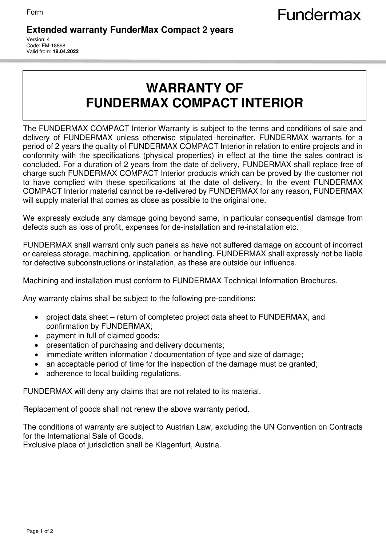## **Extended warranty FunderMax Compact 2 years**

Version: 4 Code: FM-18898 Valid from: **18.04.2022**

## **WARRANTY OF FUNDERMAX COMPACT INTERIOR**

The FUNDERMAX COMPACT Interior Warranty is subject to the terms and conditions of sale and delivery of FUNDERMAX unless otherwise stipulated hereinafter. FUNDERMAX warrants for a period of 2 years the quality of FUNDERMAX COMPACT Interior in relation to entire projects and in conformity with the specifications (physical properties) in effect at the time the sales contract is concluded. For a duration of 2 years from the date of delivery, FUNDERMAX shall replace free of charge such FUNDERMAX COMPACT Interior products which can be proved by the customer not to have complied with these specifications at the date of delivery. In the event FUNDERMAX COMPACT Interior material cannot be re-delivered by FUNDERMAX for any reason, FUNDERMAX will supply material that comes as close as possible to the original one.

We expressly exclude any damage going beyond same, in particular consequential damage from defects such as loss of profit, expenses for de-installation and re-installation etc.

FUNDERMAX shall warrant only such panels as have not suffered damage on account of incorrect or careless storage, machining, application, or handling. FUNDERMAX shall expressly not be liable for defective subconstructions or installation, as these are outside our influence.

Machining and installation must conform to FUNDERMAX Technical Information Brochures.

Any warranty claims shall be subject to the following pre-conditions:

- project data sheet return of completed project data sheet to FUNDERMAX, and confirmation by FUNDERMAX;
- payment in full of claimed goods;
- presentation of purchasing and delivery documents;
- immediate written information / documentation of type and size of damage;
- an acceptable period of time for the inspection of the damage must be granted;
- adherence to local building regulations.

FUNDERMAX will deny any claims that are not related to its material.

Replacement of goods shall not renew the above warranty period.

The conditions of warranty are subject to Austrian Law, excluding the UN Convention on Contracts for the International Sale of Goods.

Exclusive place of jurisdiction shall be Klagenfurt, Austria.